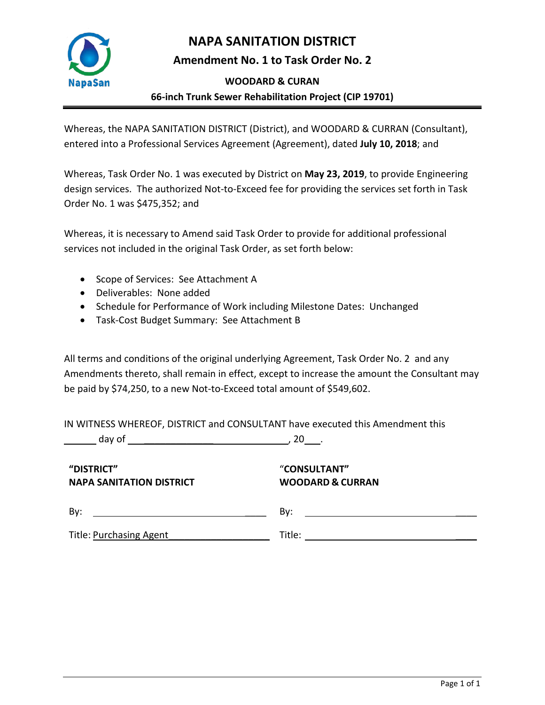

## **NAPA SANITATION DISTRICT**

**Amendment No. 1 to Task Order No. 2**

#### **WOODARD & CURAN**

## **66-inch Trunk Sewer Rehabilitation Project (CIP 19701)**

Whereas, the NAPA SANITATION DISTRICT (District), and WOODARD & CURRAN (Consultant), entered into a Professional Services Agreement (Agreement), dated **July 10, 2018**; and

Whereas, Task Order No. 1 was executed by District on **May 23, 2019**, to provide Engineering design services. The authorized Not-to-Exceed fee for providing the services set forth in Task Order No. 1 was \$475,352; and

Whereas, it is necessary to Amend said Task Order to provide for additional professional services not included in the original Task Order, as set forth below:

- Scope of Services: See Attachment A
- Deliverables: None added
- Schedule for Performance of Work including Milestone Dates: Unchanged
- Task-Cost Budget Summary: See Attachment B

All terms and conditions of the original underlying Agreement, Task Order No. 2 and any Amendments thereto, shall remain in effect, except to increase the amount the Consultant may be paid by \$74,250, to a new Not-to-Exceed total amount of \$549,602.

IN WITNESS WHEREOF, DISTRICT and CONSULTANT have executed this Amendment this

day of \_\_\_\_\_\_\_\_\_\_\_\_\_ , 20 .

**"DISTRICT" NAPA SANITATION DISTRICT**

### "**CONSULTANT" WOODARD & CURRAN**

| By:                            |        |
|--------------------------------|--------|
| <b>Title: Purchasing Agent</b> | Title: |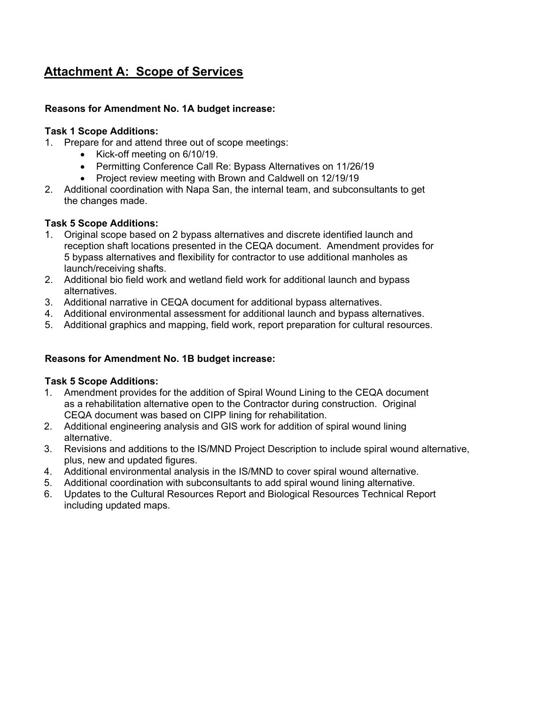# **Attachment A: Scope of Services**

#### **Reasons for Amendment No. 1A budget increase:**

#### **Task 1 Scope Additions:**

- 1. Prepare for and attend three out of scope meetings:
	- Kick-off meeting on 6/10/19.
	- Permitting Conference Call Re: Bypass Alternatives on 11/26/19
	- Project review meeting with Brown and Caldwell on 12/19/19
- 2. Additional coordination with Napa San, the internal team, and subconsultants to get the changes made.

#### **Task 5 Scope Additions:**

- 1. Original scope based on 2 bypass alternatives and discrete identified launch and reception shaft locations presented in the CEQA document. Amendment provides for 5 bypass alternatives and flexibility for contractor to use additional manholes as launch/receiving shafts.
- 2. Additional bio field work and wetland field work for additional launch and bypass alternatives.
- 3. Additional narrative in CEQA document for additional bypass alternatives.
- 4. Additional environmental assessment for additional launch and bypass alternatives.
- 5. Additional graphics and mapping, field work, report preparation for cultural resources.

#### **Reasons for Amendment No. 1B budget increase:**

#### **Task 5 Scope Additions:**

- 1. Amendment provides for the addition of Spiral Wound Lining to the CEQA document as a rehabilitation alternative open to the Contractor during construction. Original CEQA document was based on CIPP lining for rehabilitation.
- 2. Additional engineering analysis and GIS work for addition of spiral wound lining alternative.
- 3. Revisions and additions to the IS/MND Project Description to include spiral wound alternative, plus, new and updated figures.
- 4. Additional environmental analysis in the IS/MND to cover spiral wound alternative.
- 5. Additional coordination with subconsultants to add spiral wound lining alternative.
- 6. Updates to the Cultural Resources Report and Biological Resources Technical Report including updated maps.